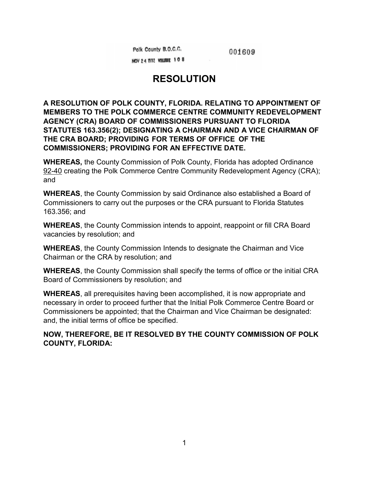Polk County B.O.C.C.

001609

NOV 24 1992 VOLUME 108

## **RESOLUTION**

**A RESOLUTION OF POLK COUNTY, FLORIDA. RELATING TO APPOINTMENT OF MEMBERS TO THE POLK COMMERCE CENTRE COMMUNITY REDEVELOPMENT AGENCY (CRA) BOARD OF COMMISSIONERS PURSUANT TO FLORIDA STATUTES 163.356(2); DESIGNATING A CHAIRMAN AND A VICE CHAIRMAN OF THE CRA BOARD; PROVIDING FOR TERMS OF OFFICE OF THE COMMISSIONERS; PROVIDING FOR AN EFFECTIVE DATE.**

**WHEREAS,** the County Commission of Polk County, Florida has adopted Ordinance 92-40 creating the Polk Commerce Centre Community Redevelopment Agency (CRA); and

**WHEREAS**, the County Commission by said Ordinance also established a Board of Commissioners to carry out the purposes or the CRA pursuant to Florida Statutes 163.356; and

**WHEREAS**, the County Commission intends to appoint, reappoint or fill CRA Board vacancies by resolution; and

**WHEREAS**, the County Commission Intends to designate the Chairman and Vice Chairman or the CRA by resolution; and

**WHEREAS**, the County Commission shall specify the terms of office or the initial CRA Board of Commissioners by resolution; and

**WHEREAS**, all prerequisites having been accomplished, it is now appropriate and necessary in order to proceed further that the Initial Polk Commerce Centre Board or Commissioners be appointed; that the Chairman and Vice Chairman be designated: and, the initial terms of office be specified.

### **NOW, THEREFORE, BE IT RESOLVED BY THE COUNTY COMMISSION OF POLK COUNTY, FLORIDA:**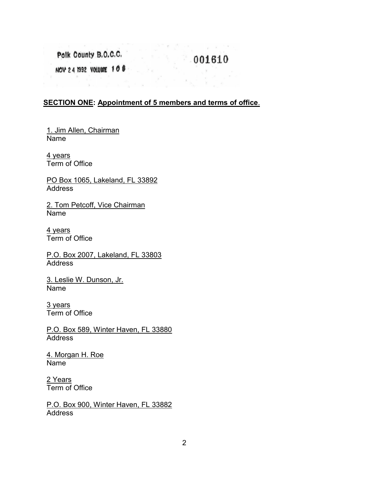Polk County B.O.C.C.

 $001610$ 

 $\mathbb{R}^m \times \sqrt{\mathbb{R}} \rightarrow \mathbb{R} \qquad \qquad \mathbb{R}^m \times \mathbb{R}^m$ 

NOV 24 1992 VOLUME 108

#### **SECTION ONE: Appointment of 5 members and terms of office**.

1. Jim Allen, Chairman Name

All Control States and

4 years Term of Office

PO Box 1065, Lakeland, FL 33892 Address

2. Tom Petcoff, Vice Chairman Name

4 years Term of Office

P.O. Box 2007, Lakeland, FL 33803 **Address** 

3. Leslie W. Dunson, Jr. Name

3 years Term of Office

P.O. Box 589, Winter Haven, FL 33880 Address

4. Morgan H. Roe Name

2 Years Term of Office

P.O. Box 900, Winter Haven, FL 33882 Address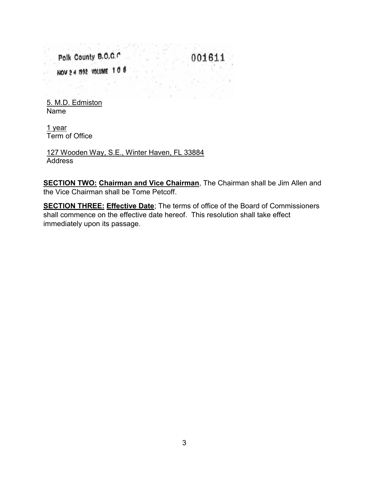Polk County B.O.C.C 001611 NOV 2 4 1992 VOLUME 108

5. M.D. Edmiston Name

1 year Term of Office

127 Wooden Way, S.E., Winter Haven, FL 33884 Address

**SECTION TWO: Chairman and Vice Chairman**, The Chairman shall be Jim Allen and the Vice Chairman shall be Tome Petcoff.

**SECTION THREE: Effective Date**; The terms of office of the Board of Commissioners shall commence on the effective date hereof. This resolution shall take effect immediately upon its passage.